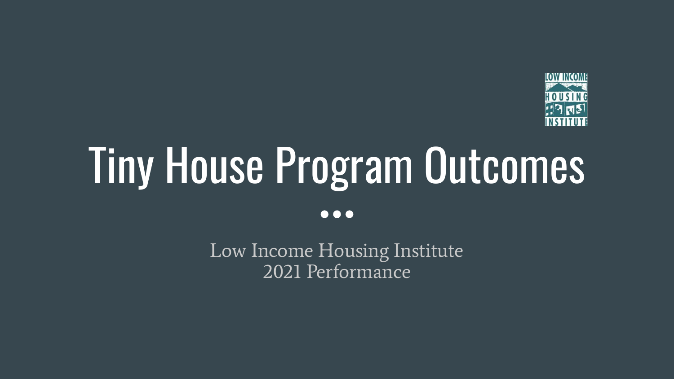

# Tiny House Program Outcomes

 $\bullet\bullet\bullet$ 

Low Income Housing Institute 2021 Performance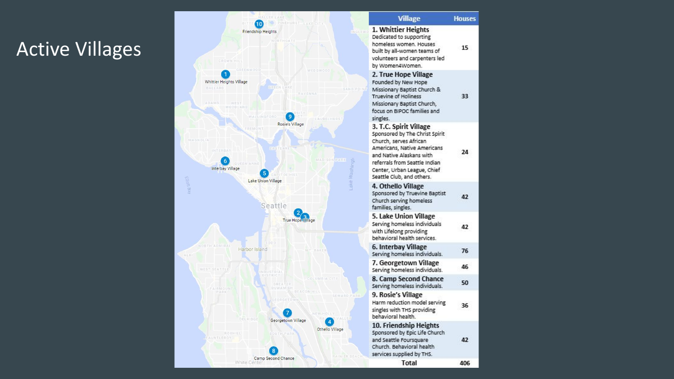### Active Villages



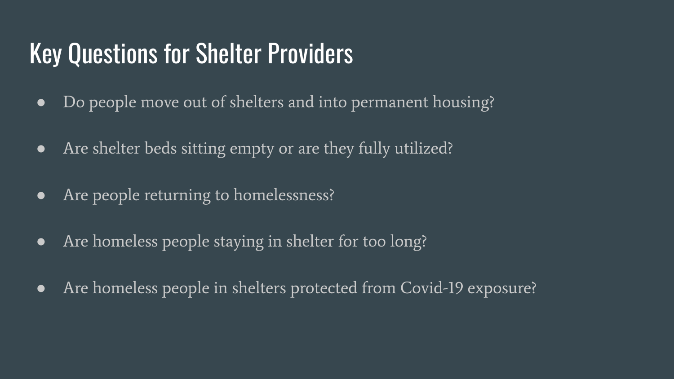### Key Questions for Shelter Providers

- Do people move out of shelters and into permanent housing?
- Are shelter beds sitting empty or are they fully utilized?
- Are people returning to homelessness?
- Are homeless people staying in shelter for too long?
- Are homeless people in shelters protected from Covid-19 exposure?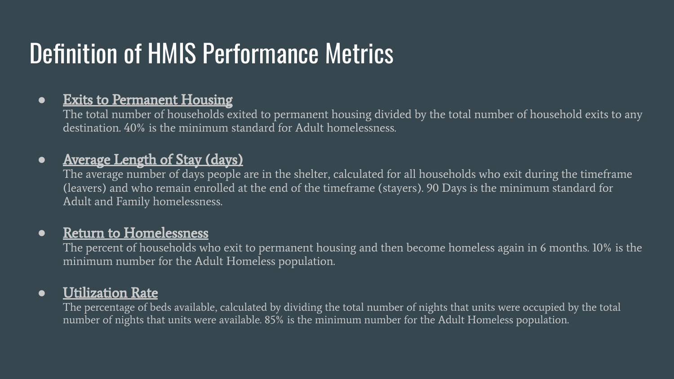# Definition of HMIS Performance Metrics

### ● Exits to Permanent Housing

The total number of households exited to permanent housing divided by the total number of household exits to any destination. 40% is the minimum standard for Adult homelessness.

### • Average Length of Stay (days)

The average number of days people are in the shelter, calculated for all households who exit during the timeframe (leavers) and who remain enrolled at the end of the timeframe (stayers). 90 Days is the minimum standard for Adult and Family homelessness.

### ● Return to Homelessness

The percent of households who exit to permanent housing and then become homeless again in 6 months. 10% is the minimum number for the Adult Homeless population.

### ● Utilization Rate

The percentage of beds available, calculated by dividing the total number of nights that units were occupied by the total number of nights that units were available. 85% is the minimum number for the Adult Homeless population.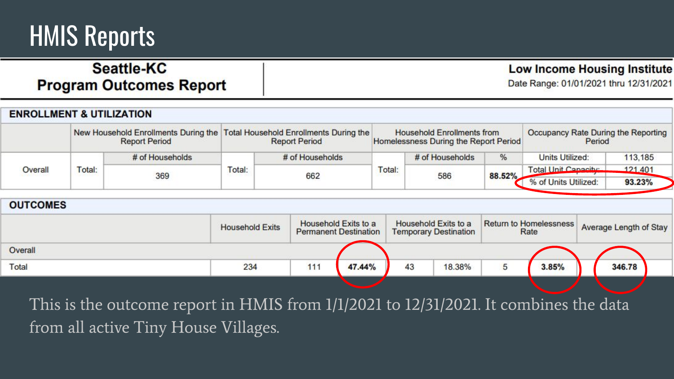### HMIS Reports

### **Seattle-KC Program Outcomes Report**

**Low Income Housing Institute** 

Date Range: 01/01/2021 thru 12/31/2021

| <b>ENROLLMENT &amp; UTILIZATION</b> |                                                                                                     |                 |        |                      |                                                                            |                 |        |                                               |         |
|-------------------------------------|-----------------------------------------------------------------------------------------------------|-----------------|--------|----------------------|----------------------------------------------------------------------------|-----------------|--------|-----------------------------------------------|---------|
|                                     | New Household Enrollments During the Total Household Enrollments During the<br><b>Report Period</b> |                 |        | <b>Report Period</b> | <b>Household Enrollments from</b><br>Homelessness During the Report Period |                 |        | Occupancy Rate During the Reporting<br>Period |         |
|                                     |                                                                                                     | # of Households |        | # of Households      |                                                                            | # of Households | %      | Units Utilized:                               | 113,185 |
| Overall                             | rotal:                                                                                              |                 | Total: |                      | Total:                                                                     |                 |        | Total Unit Capacity                           | 121,401 |
|                                     |                                                                                                     | 369             |        | 662                  |                                                                            | 586             | 88.52% | % of Units Utilized:                          | 93.23%  |

| <b>OUTCOMES</b> |                        |     |                                                      |    |                                                      |                               |       |                        |  |
|-----------------|------------------------|-----|------------------------------------------------------|----|------------------------------------------------------|-------------------------------|-------|------------------------|--|
|                 | <b>Household Exits</b> |     | Household Exits to a<br><b>Permanent Destination</b> |    | Household Exits to a<br><b>Temporary Destination</b> | <b>Return to Homelessness</b> | Rate  | Average Length of Stay |  |
| Overall         |                        |     |                                                      |    |                                                      |                               |       |                        |  |
| Total           | 234                    | 111 | 47.44%                                               | 43 | 18.38%                                               |                               | 3.85% | 346.78                 |  |
|                 |                        |     |                                                      |    |                                                      |                               |       |                        |  |

This is the outcome report in HMIS from 1/1/2021 to 12/31/2021. It combines the data from all active Tiny House Villages.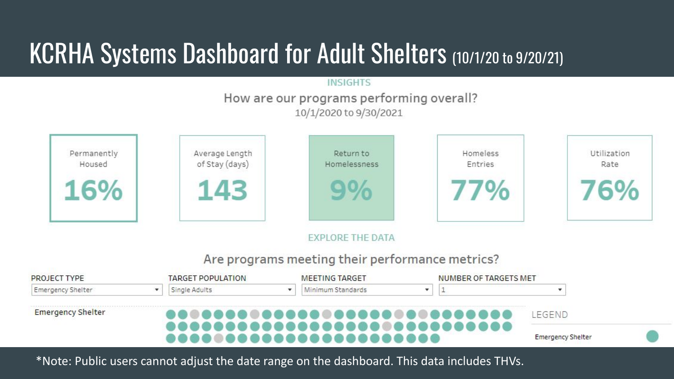# KCRHA Systems Dashboard for Adult Shelters (10/1/20 to 9/20/21)

#### **INSIGHTS**

#### How are our programs performing overall? 10/1/2020 to 9/30/2021



#### **EXPLORE THE DATA**

#### Are programs meeting their performance metrics?

| <b>Emergency Shelter</b> | <br> |  |  | LEGEND |  |
|--------------------------|------|--|--|--------|--|
|--------------------------|------|--|--|--------|--|

\*Note: Public users cannot adjust the date range on the dashboard. This data includes THVs.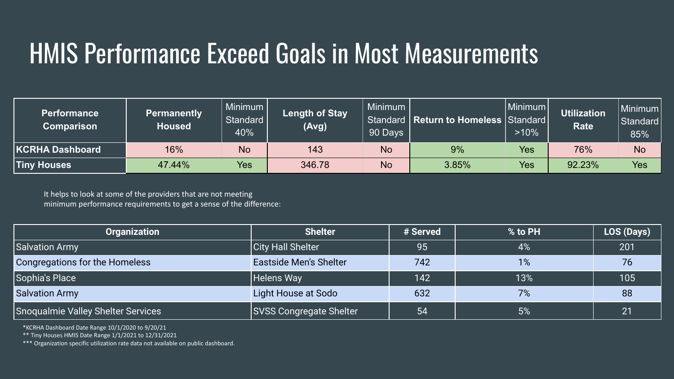# HMIS Performance Exceed Goals in Most Measurements

| <b>Performance</b><br><b>Comparison</b> | <b>Permanently</b><br>Housed | Minimum<br>Standard<br>40% | <b>Length of Stay</b><br>(Avg) | Minimum  <br>90 Days | Standard   Return to Homeless   Standard | Minimum<br>$>10\%$ | <b>Utilization</b><br><b>Rate</b> | l Minimum l<br>l Standard l<br>85% |
|-----------------------------------------|------------------------------|----------------------------|--------------------------------|----------------------|------------------------------------------|--------------------|-----------------------------------|------------------------------------|
| KCRHA Dashboard                         | 16%                          | <b>No</b>                  | 143                            | <b>No</b>            | 9%                                       | Yes                | 76%                               | <b>No</b>                          |
| <b>Tiny Houses</b>                      | 47.44%                       | Yes                        | 346.78                         | No                   | 3.85%                                    | Yes                | 92.23%                            | Yes                                |

It helps to look at some of the providers that are not meeting minimum performance requirements to get a sense of the difference:

| Organization                       | <b>Shelter</b>                 | # Served | % to PH | LOS (Days) |
|------------------------------------|--------------------------------|----------|---------|------------|
| Salvation Army                     | City Hall Shelter              | 95       | 4%      | 201        |
| Congregations for the Homeless     | <b>Eastside Men's Shelter</b>  | 742      | 1%      | 76         |
| Sophia's Place                     | Helens Way                     | 142      | 13%     | 105        |
| Salvation Army                     | Light House at Sodo            | 632      | 7%      | 88         |
| Snoqualmie Valley Shelter Services | <b>SVSS Congregate Shelter</b> | 54       | 5%      | 21         |

\*KCRHA Dashboard Date Range 10/1/2020 to 9/20/21

\*\* Tiny Houses HMIS Date Range 1/1/2021 to 12/31/2021

\*\*\* Organization specific utilization rate data not available on public dashboard.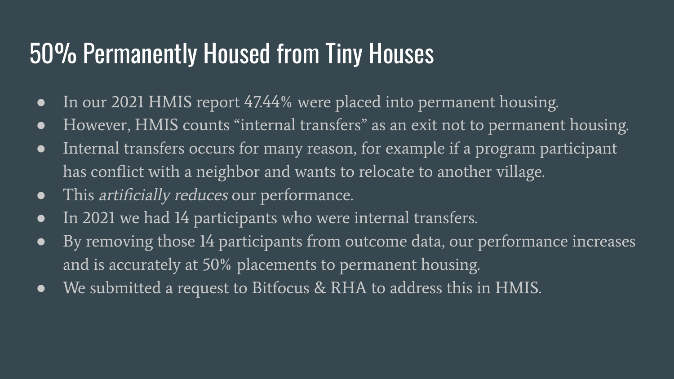## 50% Permanently Housed from Tiny Houses

- In our 2021 HMIS report 47.44% were placed into permanent housing.
- However, HMIS counts "internal transfers" as an exit not to permanent housing.
- Internal transfers occurs for many reason, for example if a program participant has conflict with a neighbor and wants to relocate to another village.
- This *artificially reduces* our performance.
- In 2021 we had 14 participants who were internal transfers.
- By removing those 14 participants from outcome data, our performance increases and is accurately at 50% placements to permanent housing.
- We submitted a request to Bitfocus & RHA to address this in HMIS.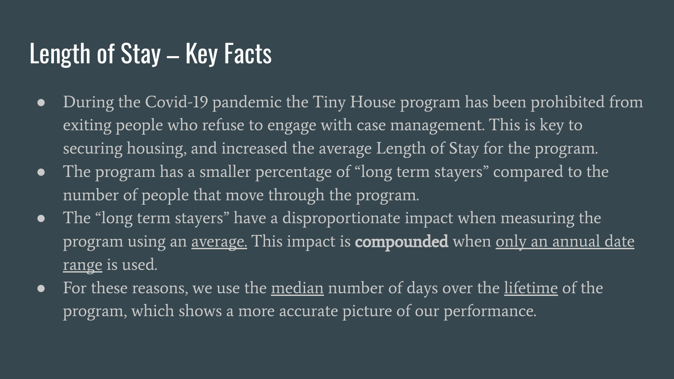### Length of Stay – Key Facts

- During the Covid-19 pandemic the Tiny House program has been prohibited from exiting people who refuse to engage with case management. This is key to securing housing, and increased the average Length of Stay for the program.
- The program has a smaller percentage of "long term stayers" compared to the number of people that move through the program.
- The "long term stayers" have a disproportionate impact when measuring the program using an <u>average.</u> This impact is **compounded** when <u>only an annual date</u> range is used.
- For these reasons, we use the median number of days over the lifetime of the program, which shows a more accurate picture of our performance.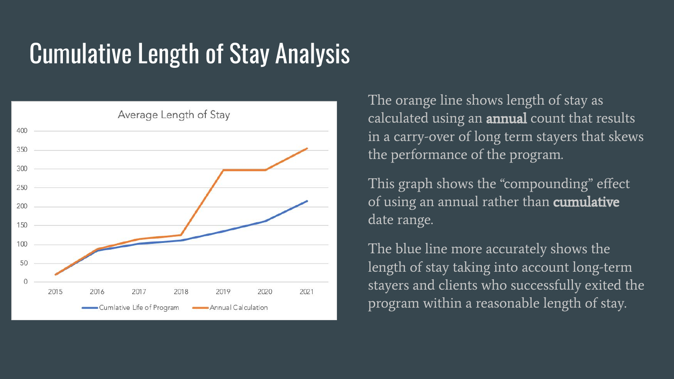# Cumulative Length of Stay Analysis



The orange line shows length of stay as calculated using an **annual** count that results in a carry-over of long term stayers that skews the performance of the program.

This graph shows the "compounding" effect of using an annual rather than **cumulative** date range.

The blue line more accurately shows the length of stay taking into account long-term stayers and clients who successfully exited the program within a reasonable length of stay.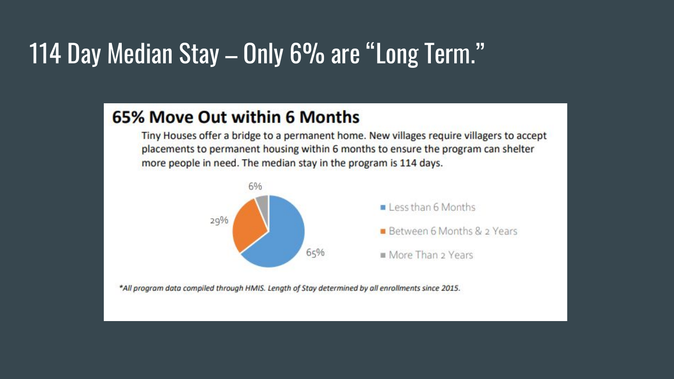### 114 Day Median Stay – Only 6% are "Long Term."

### 65% Move Out within 6 Months

Tiny Houses offer a bridge to a permanent home. New villages require villagers to accept placements to permanent housing within 6 months to ensure the program can shelter more people in need. The median stay in the program is 114 days.



\*All program data compiled through HMIS. Length of Stay determined by all enrollments since 2015.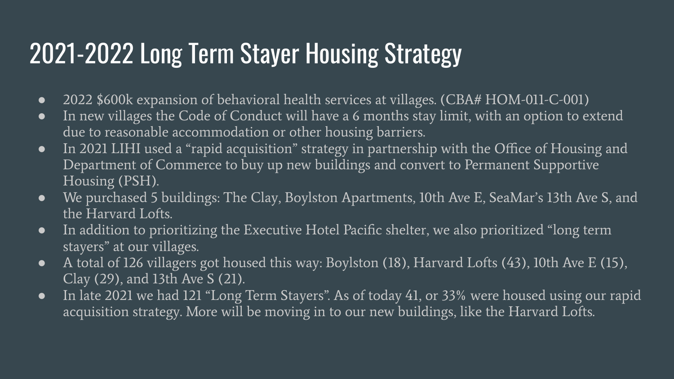# 2021-2022 Long Term Stayer Housing Strategy

- 2022 \$600k expansion of behavioral health services at villages. (CBA# HOM-011-C-001)
- In new villages the Code of Conduct will have a 6 months stay limit, with an option to extend due to reasonable accommodation or other housing barriers.
- In 2021 LIHI used a "rapid acquisition" strategy in partnership with the Office of Housing and Department of Commerce to buy up new buildings and convert to Permanent Supportive Housing (PSH).
- We purchased 5 buildings: The Clay, Boylston Apartments, 10th Ave E, SeaMar's 13th Ave S, and the Harvard Lofts.
- In addition to prioritizing the Executive Hotel Pacific shelter, we also prioritized "long term stayers" at our villages.
- A total of 126 villagers got housed this way: Boylston (18), Harvard Lofts (43), 10th Ave E (15), Clay (29), and 13th Ave S (21).
- In late 2021 we had 121 "Long Term Stayers". As of today 41, or 33% were housed using our rapid acquisition strategy. More will be moving in to our new buildings, like the Harvard Lofts.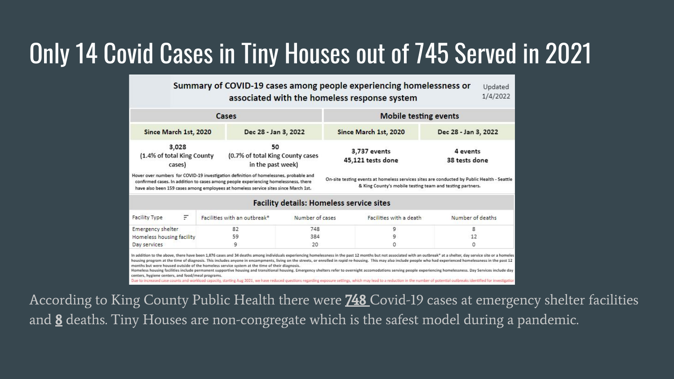# Only 14 Covid Cases in Tiny Houses out of 745 Served in 2021

Summary of COVID-19 cases among people experiencing homelessness or Updated 1/4/2022 associated with the homeless response system

| Since March 1st, 2020<br>Since March 1st, 2020<br>Dec 28 - Jan 3, 2022                                                                                                                                                                                                                                                                                                                                                       |                           |  |
|------------------------------------------------------------------------------------------------------------------------------------------------------------------------------------------------------------------------------------------------------------------------------------------------------------------------------------------------------------------------------------------------------------------------------|---------------------------|--|
|                                                                                                                                                                                                                                                                                                                                                                                                                              | Dec 28 - Jan 3, 2022      |  |
| 3,028<br>50<br>3,737 events<br>(1.4% of total King County<br>(0.7% of total King County cases<br>45,121 tests done<br>in the past week)<br>cases)                                                                                                                                                                                                                                                                            | 4 events<br>38 tests done |  |
| Hover over numbers for COVID-19 investigation definition of homelessnes, probable and<br>On-site testing events at homeless services sites are conducted by Public Health - Seatt<br>confirmed cases. In addition to cases among people experiencing homelessness, there<br>& King County's mobile testing team and testing partners.<br>have also been 159 cases among employees at homeless service sites since March 1st. |                           |  |

#### **Facility details: Homeless service sites**

| F<br>Facility Type        |  | Facilities with an outbreak* | Number of cases | Facilities with a death | Number of deaths |
|---------------------------|--|------------------------------|-----------------|-------------------------|------------------|
| Emergency shelter         |  |                              | 748             |                         |                  |
| Homeless housing facility |  |                              | 384             |                         |                  |
| Day services              |  |                              | 20              |                         |                  |
|                           |  |                              |                 |                         |                  |

In addition to the above, there have been 1.876 cases and 34 deaths among individuals experiencing homelessness in the past 12 months but not associated with an outbreak" at a shelter, day service site or a homeles housing program at the time of diagnosis. This includes anyone in encampments, living on the streets, or enrolled in rapid re-housing. This may also include people who had experienced homelessness in the past 12 months but were housed outside of the homeless service system at the time of their diagnosis. Homeless housing facilities include permanent supportive housing and transitional housing. Emergency shelters refer to overnight accomodations serving people experiencing homelessness. Day Services include day

centers, hygiene centers, and food/meal programs.

Due to increased case counts and workload capacity, starting Aug 2021, we have reduced questions regarding exposure settings, which may lead to a reduction in the number of potential outbreaks identified for investial

According to King County Public Health there were **748** Covid-19 cases at emergency shelter facilities and 8 deaths. Tiny Houses are non-congregate which is the safest model during a pandemic.